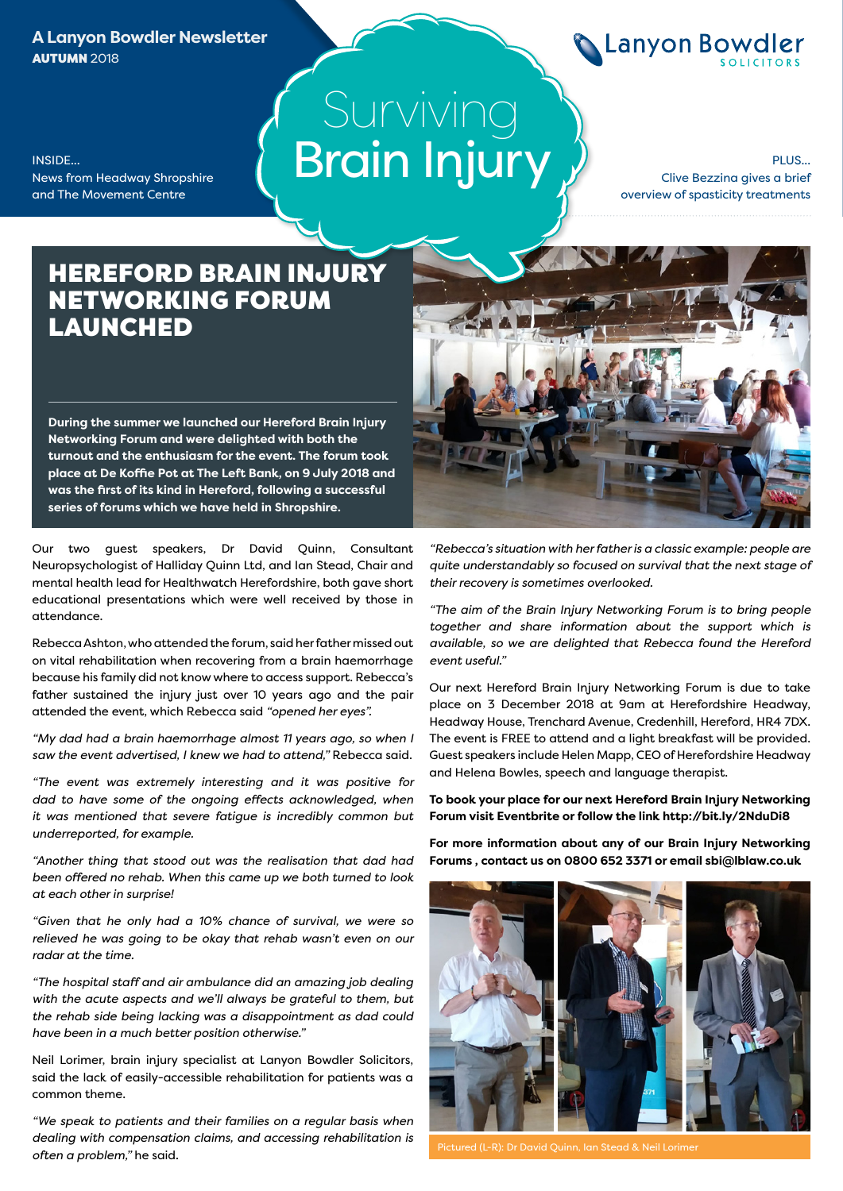**A Lanyon Bowdler Newsletter AUTUMN 2018** 

News from Headway Shropshire and The Movement Centre

INSIDE...

# Surviving Brain Injury

PLUS... Clive Bezzina gives a brief overview of spasticity treatments

**Clanyon Bowdler** 

### HEREFORD BRAIN INJURY NETWORKING FORUM LAUNCHED

**During the summer we launched our Hereford Brain Injury Networking Forum and were delighted with both the turnout and the enthusiasm for the event. The forum took place at De Koffie Pot at The Left Bank, on 9 July 2018 and was the first of its kind in Hereford, following a successful series of forums which we have held in Shropshire.**

Our two guest speakers, Dr David Quinn, Consultant Neuropsychologist of Halliday Quinn Ltd, and Ian Stead, Chair and mental health lead for Healthwatch Herefordshire, both gave short educational presentations which were well received by those in attendance.

Rebecca Ashton, who attended the forum, said her father missed out on vital rehabilitation when recovering from a brain haemorrhage because his family did not know where to access support. Rebecca's father sustained the injury just over 10 years ago and the pair attended the event, which Rebecca said *"opened her eyes".*

*"My dad had a brain haemorrhage almost 11 years ago, so when I saw the event advertised, I knew we had to attend,"* Rebecca said.

*"The event was extremely interesting and it was positive for dad to have some of the ongoing effects acknowledged, when it was mentioned that severe fatigue is incredibly common but underreported, for example.*

*"Another thing that stood out was the realisation that dad had been offered no rehab. When this came up we both turned to look at each other in surprise!*

*"Given that he only had a 10% chance of survival, we were so relieved he was going to be okay that rehab wasn't even on our radar at the time.*

*"The hospital staff and air ambulance did an amazing job dealing with the acute aspects and we'll always be grateful to them, but the rehab side being lacking was a disappointment as dad could have been in a much better position otherwise."*

Neil Lorimer, brain injury specialist at Lanyon Bowdler Solicitors, said the lack of easily-accessible rehabilitation for patients was a common theme.

*"We speak to patients and their families on a regular basis when dealing with compensation claims, and accessing rehabilitation is often a problem,"* he said.



*"Rebecca's situation with her father is a classic example: people are quite understandably so focused on survival that the next stage of their recovery is sometimes overlooked.*

*"The aim of the Brain Injury Networking Forum is to bring people together and share information about the support which is available, so we are delighted that Rebecca found the Hereford event useful."*

Our next Hereford Brain Injury Networking Forum is due to take place on 3 December 2018 at 9am at Herefordshire Headway, Headway House, Trenchard Avenue, Credenhill, Hereford, HR4 7DX. The event is FREE to attend and a light breakfast will be provided. Guest speakers include Helen Mapp, CEO of Herefordshire Headway and Helena Bowles, speech and language therapist.

**To book your place for our next Hereford Brain Injury Networking Forum visit Eventbrite or follow the link http://bit.ly/2NduDi8** 

**For more information about any of our Brain Injury Networking Forums , contact us on 0800 652 3371 or email sbi@lblaw.co.uk** 

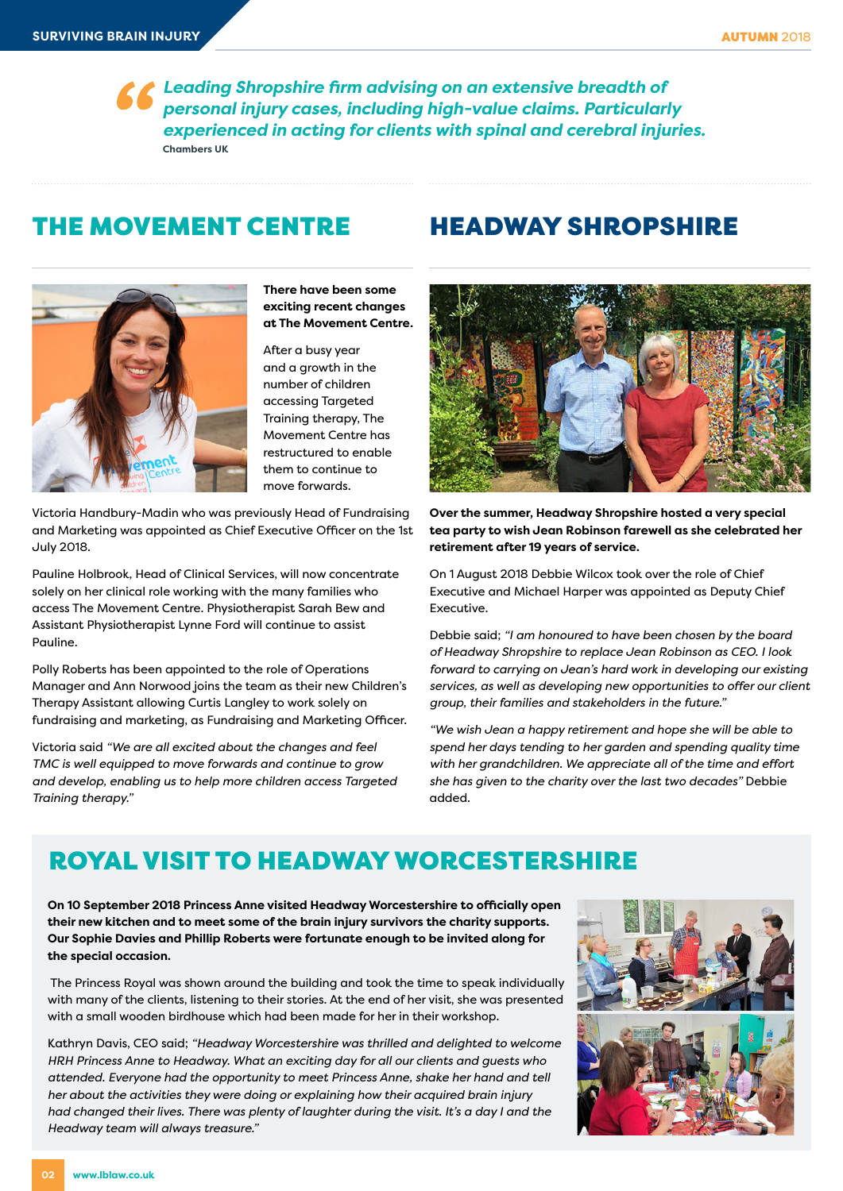*Leading Shropshire firm advising on an extensive breadth of personal injury cases, including high-value claims. Particularly experienced in acting for clients with spinal and cerebral injuries.* **Chambers UK**

### THE MOVEMENT CENTRE



**There have been some exciting recent changes at The Movement Centre.** 

After a busy year and a growth in the number of children accessing Targeted Training therapy, The Movement Centre has restructured to enable them to continue to move forwards.

Victoria Handbury-Madin who was previously Head of Fundraising and Marketing was appointed as Chief Executive Officer on the 1st July 2018.

Pauline Holbrook, Head of Clinical Services, will now concentrate solely on her clinical role working with the many families who access The Movement Centre. Physiotherapist Sarah Bew and Assistant Physiotherapist Lynne Ford will continue to assist Pauline.

Polly Roberts has been appointed to the role of Operations Manager and Ann Norwood joins the team as their new Children's Therapy Assistant allowing Curtis Langley to work solely on fundraising and marketing, as Fundraising and Marketing Officer.

Victoria said *"We are all excited about the changes and feel TMC is well equipped to move forwards and continue to grow and develop, enabling us to help more children access Targeted Training therapy."*

### HEADWAY SHROPSHIRE



**Over the summer, Headway Shropshire hosted a very special tea party to wish Jean Robinson farewell as she celebrated her retirement after 19 years of service.** 

On 1 August 2018 Debbie Wilcox took over the role of Chief Executive and Michael Harper was appointed as Deputy Chief Executive.

Debbie said; *"I am honoured to have been chosen by the board of Headway Shropshire to replace Jean Robinson as CEO. I look forward to carrying on Jean's hard work in developing our existing services, as well as developing new opportunities to offer our client group, their families and stakeholders in the future."*

*"We wish Jean a happy retirement and hope she will be able to spend her days tending to her garden and spending quality time with her grandchildren. We appreciate all of the time and effort she has given to the charity over the last two decades"* Debbie added.

## ROYAL VISIT TO HEADWAY WORCESTERSHIRE

**On 10 September 2018 Princess Anne visited Headway Worcestershire to officially open their new kitchen and to meet some of the brain injury survivors the charity supports. Our Sophie Davies and Phillip Roberts were fortunate enough to be invited along for the special occasion.** 

 The Princess Royal was shown around the building and took the time to speak individually with many of the clients, listening to their stories. At the end of her visit, she was presented with a small wooden birdhouse which had been made for her in their workshop.

Kathryn Davis, CEO said; *"Headway Worcestershire was thrilled and delighted to welcome HRH Princess Anne to Headway. What an exciting day for all our clients and guests who attended. Everyone had the opportunity to meet Princess Anne, shake her hand and tell her about the activities they were doing or explaining how their acquired brain injury had changed their lives. There was plenty of laughter during the visit. It's a day I and the Headway team will always treasure."*

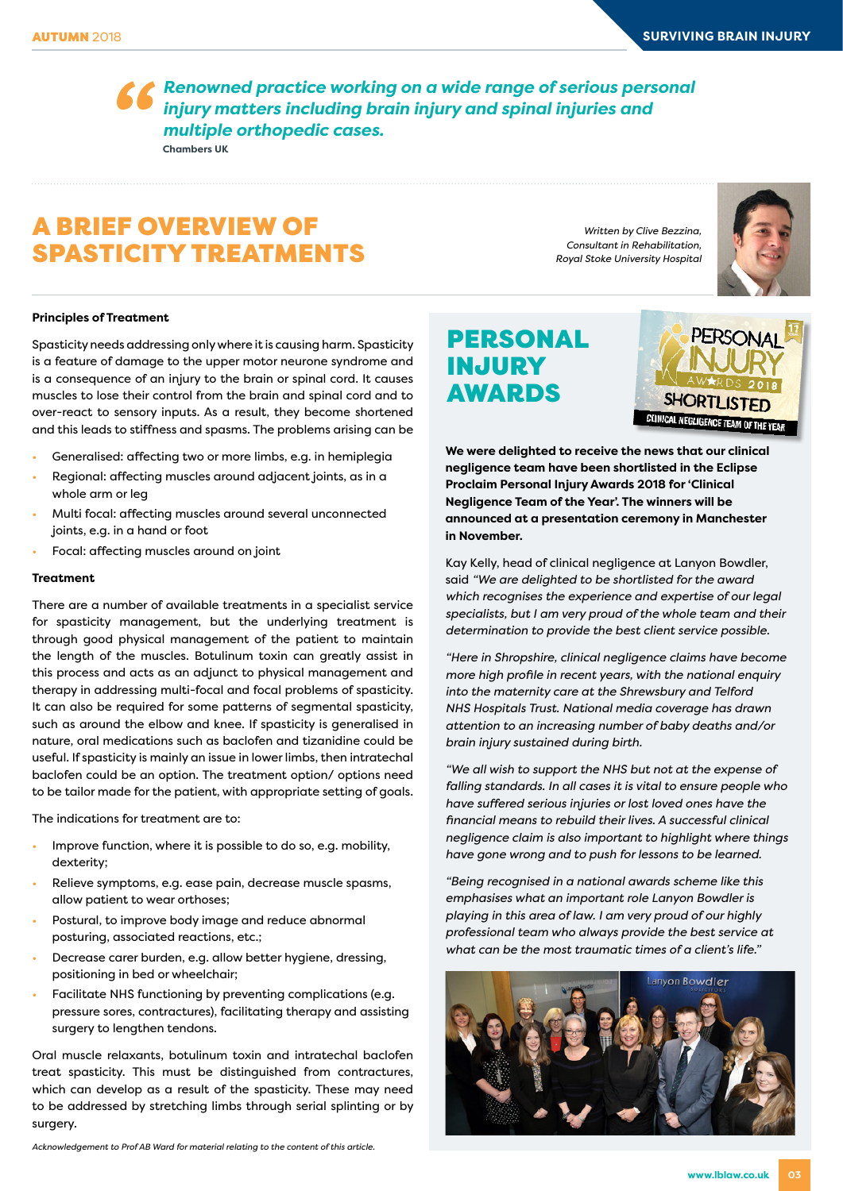*Renowned practice working on a wide range of serious personal injury matters including brain injury and spinal injuries and multiple orthopedic cases.* **Chambers UK**

### A BRIEF OVERVIEW OF SPASTICITY TREATMENTS

*Written by Clive Bezzina, Consultant in Rehabilitation, Royal Stoke University Hospital*



### PERSONAL INJURY AWARDS



**We were delighted to receive the news that our clinical negligence team have been shortlisted in the Eclipse Proclaim Personal Injury Awards 2018 for 'Clinical Negligence Team of the Year'. The winners will be announced at a presentation ceremony in Manchester in November.** 

Kay Kelly, head of clinical negligence at Lanyon Bowdler, said *"We are delighted to be shortlisted for the award which recognises the experience and expertise of our legal specialists, but I am very proud of the whole team and their determination to provide the best client service possible.*

*"Here in Shropshire, clinical negligence claims have become more high profile in recent years, with the national enquiry into the maternity care at the Shrewsbury and Telford NHS Hospitals Trust. National media coverage has drawn attention to an increasing number of baby deaths and/or brain injury sustained during birth.*

*"We all wish to support the NHS but not at the expense of falling standards. In all cases it is vital to ensure people who have suffered serious injuries or lost loved ones have the financial means to rebuild their lives. A successful clinical negligence claim is also important to highlight where things have gone wrong and to push for lessons to be learned.*

*"Being recognised in a national awards scheme like this emphasises what an important role Lanyon Bowdler is playing in this area of law. I am very proud of our highly professional team who always provide the best service at what can be the most traumatic times of a client's life."* 



#### **Principles of Treatment**

Spasticity needs addressing only where it is causing harm. Spasticity is a feature of damage to the upper motor neurone syndrome and is a consequence of an injury to the brain or spinal cord. It causes muscles to lose their control from the brain and spinal cord and to over-react to sensory inputs. As a result, they become shortened and this leads to stiffness and spasms. The problems arising can be

- Generalised: affecting two or more limbs, e.g. in hemiplegia
- Regional: affecting muscles around adjacent joints, as in a whole arm or leg
- Multi focal: affecting muscles around several unconnected joints, e.g. in a hand or foot
- Focal: affecting muscles around on joint

#### **Treatment**

There are a number of available treatments in a specialist service for spasticity management, but the underlying treatment is through good physical management of the patient to maintain the length of the muscles. Botulinum toxin can greatly assist in this process and acts as an adjunct to physical management and therapy in addressing multi-focal and focal problems of spasticity. It can also be required for some patterns of segmental spasticity, such as around the elbow and knee. If spasticity is generalised in nature, oral medications such as baclofen and tizanidine could be useful. If spasticity is mainly an issue in lower limbs, then intratechal baclofen could be an option. The treatment option/ options need to be tailor made for the patient, with appropriate setting of goals.

The indications for treatment are to:

- Improve function, where it is possible to do so, e.g. mobility, dexterity;
- Relieve symptoms, e.g. ease pain, decrease muscle spasms, allow patient to wear orthoses;
- Postural, to improve body image and reduce abnormal posturing, associated reactions, etc.;
- Decrease carer burden, e.g. allow better hygiene, dressing, positioning in bed or wheelchair;
- Facilitate NHS functioning by preventing complications (e.g. pressure sores, contractures), facilitating therapy and assisting surgery to lengthen tendons.

Oral muscle relaxants, botulinum toxin and intratechal baclofen treat spasticity. This must be distinguished from contractures, which can develop as a result of the spasticity. These may need to be addressed by stretching limbs through serial splinting or by surgery.

*Acknowledgement to Prof AB Ward for material relating to the content of this article.*